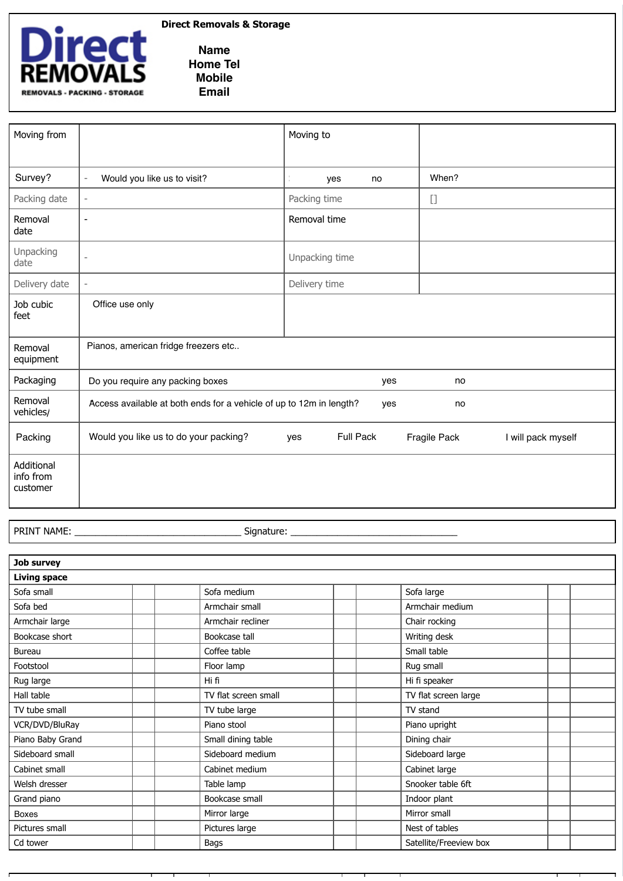

## **Direct Removals & Storage**

**Name Home Tel Mobile Email**

| Moving from                         |                                                                                  | Moving to               |                                    |  |  |  |  |
|-------------------------------------|----------------------------------------------------------------------------------|-------------------------|------------------------------------|--|--|--|--|
|                                     |                                                                                  |                         |                                    |  |  |  |  |
| Survey?                             | Would you like us to visit?<br>$\overline{\phantom{a}}$                          | yes<br>no               | When?                              |  |  |  |  |
| Packing date                        | $\overline{\phantom{a}}$                                                         | Packing time            |                                    |  |  |  |  |
| Removal<br>date                     | $\overline{\phantom{a}}$                                                         | Removal time            |                                    |  |  |  |  |
| Unpacking<br>date                   | $\overline{a}$                                                                   | Unpacking time          |                                    |  |  |  |  |
| Delivery date                       | $\overline{\phantom{a}}$                                                         | Delivery time           |                                    |  |  |  |  |
| Job cubic<br>feet                   | Office use only                                                                  |                         |                                    |  |  |  |  |
| Removal<br>equipment                | Pianos, american fridge freezers etc                                             |                         |                                    |  |  |  |  |
| Packaging                           | Do you require any packing boxes                                                 | yes                     | no                                 |  |  |  |  |
| Removal<br>vehicles/                | Access available at both ends for a vehicle of up to 12m in length?<br>yes<br>no |                         |                                    |  |  |  |  |
| Packing                             | Would you like us to do your packing?                                            | <b>Full Pack</b><br>yes | Fragile Pack<br>I will pack myself |  |  |  |  |
| Additional<br>info from<br>customer |                                                                                  |                         |                                    |  |  |  |  |

PRINT NAME: \_\_\_\_\_\_\_\_\_\_\_\_\_\_\_\_\_\_\_\_\_\_\_\_\_\_\_\_\_\_\_\_ Signature: \_\_\_\_\_\_\_\_\_\_\_\_\_\_\_\_\_\_\_\_\_\_\_\_\_\_\_\_\_\_\_\_

| Job survey          |                      |                        |  |  |  |  |  |  |
|---------------------|----------------------|------------------------|--|--|--|--|--|--|
| <b>Living space</b> |                      |                        |  |  |  |  |  |  |
| Sofa small          | Sofa medium          | Sofa large             |  |  |  |  |  |  |
| Sofa bed            | Armchair small       | Armchair medium        |  |  |  |  |  |  |
| Armchair large      | Armchair recliner    | Chair rocking          |  |  |  |  |  |  |
| Bookcase short      | Bookcase tall        | Writing desk           |  |  |  |  |  |  |
| Bureau              | Coffee table         | Small table            |  |  |  |  |  |  |
| Footstool           | Floor lamp           | Rug small              |  |  |  |  |  |  |
| Rug large           | Hi fi                | Hi fi speaker          |  |  |  |  |  |  |
| Hall table          | TV flat screen small | TV flat screen large   |  |  |  |  |  |  |
| TV tube small       | TV tube large        | TV stand               |  |  |  |  |  |  |
| VCR/DVD/BluRay      | Piano stool          | Piano upright          |  |  |  |  |  |  |
| Piano Baby Grand    | Small dining table   | Dining chair           |  |  |  |  |  |  |
| Sideboard small     | Sideboard medium     | Sideboard large        |  |  |  |  |  |  |
| Cabinet small       | Cabinet medium       | Cabinet large          |  |  |  |  |  |  |
| Welsh dresser       | Table lamp           | Snooker table 6ft      |  |  |  |  |  |  |
| Grand piano         | Bookcase small       | Indoor plant           |  |  |  |  |  |  |
| <b>Boxes</b>        | Mirror large         | Mirror small           |  |  |  |  |  |  |
| Pictures small      | Pictures large       | Nest of tables         |  |  |  |  |  |  |
| Cd tower            | Bags                 | Satellite/Freeview box |  |  |  |  |  |  |